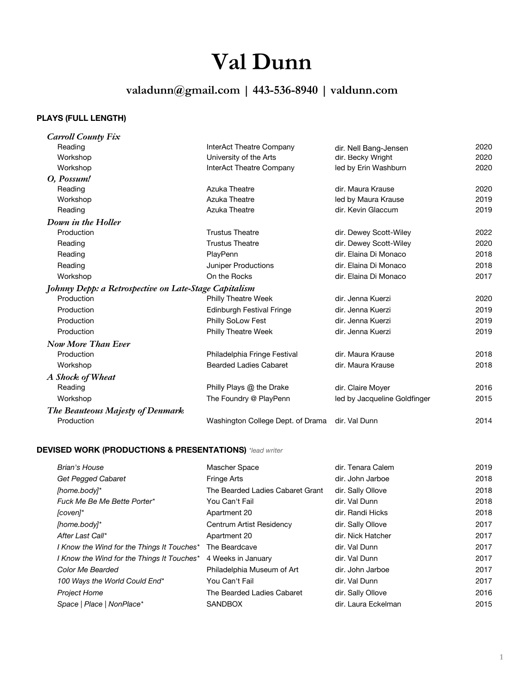# **Val Dunn**

# **valadunn@gmail.com | 443-536-8940 | valdunn.com**

# **PLAYS (FULL LENGTH)**

| <b>Carroll County Fix</b>                             |                                   |                              |      |
|-------------------------------------------------------|-----------------------------------|------------------------------|------|
| Reading                                               | InterAct Theatre Company          | dir. Nell Bang-Jensen        | 2020 |
| Workshop                                              | University of the Arts            | dir. Becky Wright            | 2020 |
| Workshop                                              | InterAct Theatre Company          | led by Erin Washburn         | 2020 |
| O, Possum!                                            |                                   |                              |      |
| Reading                                               | <b>Azuka Theatre</b>              | dir. Maura Krause            | 2020 |
| Workshop                                              | Azuka Theatre                     | led by Maura Krause          | 2019 |
| Reading                                               | <b>Azuka Theatre</b>              | dir. Kevin Glaccum           | 2019 |
| Down in the Holler                                    |                                   |                              |      |
| Production                                            | <b>Trustus Theatre</b>            | dir. Dewey Scott-Wiley       | 2022 |
| Reading                                               | <b>Trustus Theatre</b>            | dir. Dewey Scott-Wiley       | 2020 |
| Reading                                               | PlayPenn                          | dir. Elaina Di Monaco        | 2018 |
| Reading                                               | <b>Juniper Productions</b>        | dir. Elaina Di Monaco        | 2018 |
| Workshop                                              | On the Rocks                      | dir. Elaina Di Monaco        | 2017 |
| Johnny Depp: a Retrospective on Late-Stage Capitalism |                                   |                              |      |
| Production                                            | Philly Theatre Week               | dir. Jenna Kuerzi            | 2020 |
| Production                                            | <b>Edinburgh Festival Fringe</b>  | dir. Jenna Kuerzi            | 2019 |
| Production                                            | Philly SoLow Fest                 | dir. Jenna Kuerzi            | 2019 |
| Production                                            | <b>Philly Theatre Week</b>        | dir. Jenna Kuerzi            | 2019 |
| <b>Now More Than Ever</b>                             |                                   |                              |      |
| Production                                            | Philadelphia Fringe Festival      | dir. Maura Krause            | 2018 |
| Workshop                                              | <b>Bearded Ladies Cabaret</b>     | dir. Maura Krause            | 2018 |
| A Shock of Wheat                                      |                                   |                              |      |
| Reading                                               | Philly Plays @ the Drake          | dir. Claire Moyer            | 2016 |
| Workshop                                              | The Foundry @ PlayPenn            | led by Jacqueline Goldfinger | 2015 |
| The Beauteous Majesty of Denmark                      |                                   |                              |      |
| Production                                            | Washington College Dept. of Drama | dir. Val Dunn                | 2014 |

# **DEVISED WORK (PRODUCTIONS & PRESENTATIONS)** *\*lead writer*

| Brian's House                              | Mascher Space                    | dir. Tenara Calem   | 2019 |
|--------------------------------------------|----------------------------------|---------------------|------|
| Get Pegged Cabaret                         | <b>Fringe Arts</b>               | dir. John Jarboe    | 2018 |
| [home.body]*                               | The Bearded Ladies Cabaret Grant | dir. Sally Ollove   | 2018 |
| Fuck Me Be Me Bette Porter*                | You Can't Fail                   | dir. Val Dunn       | 2018 |
| [coven]*                                   | Apartment 20                     | dir. Randi Hicks    | 2018 |
| [home.body]*                               | Centrum Artist Residency         | dir. Sally Ollove   | 2017 |
| After Last Call*                           | Apartment 20                     | dir. Nick Hatcher   | 2017 |
| I Know the Wind for the Things It Touches* | The Beardcave                    | dir. Val Dunn       | 2017 |
| I Know the Wind for the Things It Touches* | 4 Weeks in January               | dir. Val Dunn       | 2017 |
| Color Me Bearded                           | Philadelphia Museum of Art       | dir. John Jarboe    | 2017 |
| 100 Ways the World Could End*              | You Can't Fail                   | dir. Val Dunn       | 2017 |
| <b>Project Home</b>                        | The Bearded Ladies Cabaret       | dir. Sally Ollove   | 2016 |
| Space   Place   NonPlace*                  | <b>SANDBOX</b>                   | dir. Laura Eckelman | 2015 |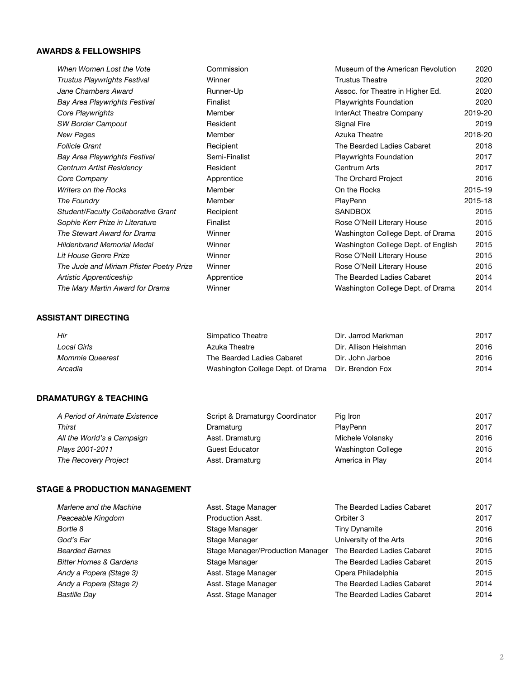#### **AWARDS & FELLOWSHIPS**

| When Women Lost the Vote                   | Commission      | Museum of the American Revolution   | 2020    |
|--------------------------------------------|-----------------|-------------------------------------|---------|
| <b>Trustus Playwrights Festival</b>        | Winner          | <b>Trustus Theatre</b>              | 2020    |
| Jane Chambers Award                        | Runner-Up       | Assoc. for Theatre in Higher Ed.    | 2020    |
| Bay Area Playwrights Festival              | <b>Finalist</b> | <b>Playwrights Foundation</b>       | 2020    |
| Core Playwrights                           | Member          | <b>InterAct Theatre Company</b>     | 2019-20 |
| <b>SW Border Campout</b>                   | Resident        | Signal Fire                         | 2019    |
| <b>New Pages</b>                           | Member          | Azuka Theatre                       | 2018-20 |
| <b>Follicle Grant</b>                      | Recipient       | The Bearded Ladies Cabaret          | 2018    |
| <b>Bay Area Playwrights Festival</b>       | Semi-Finalist   | <b>Playwrights Foundation</b>       | 2017    |
| Centrum Artist Residency                   | Resident        | Centrum Arts                        | 2017    |
| Core Company                               | Apprentice      | The Orchard Project                 | 2016    |
| <b>Writers on the Rocks</b>                | Member          | On the Rocks                        | 2015-19 |
| The Foundry                                | Member          | PlayPenn                            | 2015-18 |
| <b>Student/Faculty Collaborative Grant</b> | Recipient       | <b>SANDBOX</b>                      | 2015    |
| Sophie Kerr Prize in Literature            | Finalist        | Rose O'Neill Literary House         | 2015    |
| The Stewart Award for Drama                | Winner          | Washington College Dept. of Drama   | 2015    |
| <b>Hildenbrand Memorial Medal</b>          | Winner          | Washington College Dept. of English | 2015    |
| Lit House Genre Prize                      | Winner          | Rose O'Neill Literary House         | 2015    |
| The Jude and Miriam Pfister Poetry Prize   | Winner          | Rose O'Neill Literary House         | 2015    |
| Artistic Apprenticeship                    | Apprentice      | The Bearded Ladies Cabaret          | 2014    |
| The Mary Martin Award for Drama            | Winner          | Washington College Dept. of Drama   | 2014    |
|                                            |                 |                                     |         |

#### **ASSISTANT DIRECTING**

| Hir                    | Simpatico Theatre                                  | Dir. Jarrod Markman   | 2017 |
|------------------------|----------------------------------------------------|-----------------------|------|
| Local Girls            | Azuka Theatre                                      | Dir. Allison Heishman | 2016 |
| <b>Mommie Queerest</b> | The Bearded Ladies Cabaret                         | Dir. John Jarboe      | 2016 |
| Arcadia                | Washington College Dept. of Drama Dir. Brendon Fox |                       | 2014 |

## **DRAMATURGY & TEACHING**

| A Period of Animate Existence | Script & Dramaturgy Coordinator | Pig Iron           | 2017 |
|-------------------------------|---------------------------------|--------------------|------|
| Thirst                        | Dramaturg                       | <b>PlavPenn</b>    | 2017 |
| All the World's a Campaign    | Asst. Dramaturg                 | Michele Volansky   | 2016 |
| Plays 2001-2011               | <b>Guest Educator</b>           | Washington College | 2015 |
| The Recovery Project          | Asst. Dramaturg                 | America in Play    | 2014 |

#### **STAGE & PRODUCTION MANAGEMENT**

| Marlene and the Machine           | Asst. Stage Manager              | The Bearded Ladies Cabaret | 2017 |
|-----------------------------------|----------------------------------|----------------------------|------|
| Peaceable Kingdom                 | Production Asst.                 | Orbiter 3                  | 2017 |
| Bortle 8                          | Stage Manager                    | <b>Tiny Dynamite</b>       | 2016 |
| God's Ear                         | Stage Manager                    | University of the Arts     | 2016 |
| <b>Bearded Barnes</b>             | Stage Manager/Production Manager | The Bearded Ladies Cabaret | 2015 |
| <b>Bitter Homes &amp; Gardens</b> | Stage Manager                    | The Bearded Ladies Cabaret | 2015 |
| Andy a Popera (Stage 3)           | Asst. Stage Manager              | Opera Philadelphia         | 2015 |
| Andy a Popera (Stage 2)           | Asst. Stage Manager              | The Bearded Ladies Cabaret | 2014 |
| <b>Bastille Day</b>               | Asst. Stage Manager              | The Bearded Ladies Cabaret | 2014 |
|                                   |                                  |                            |      |